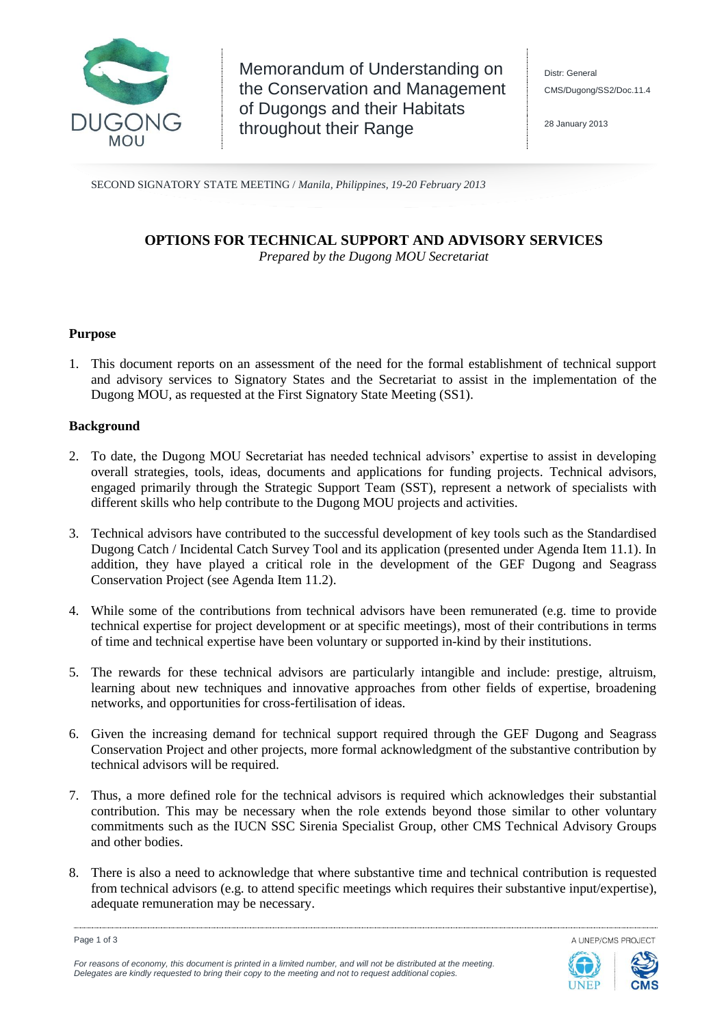

Memorandum of Understanding on the Conservation and Management of Dugongs and their Habitats throughout their Range

28 January 2013

SECOND SIGNATORY STATE MEETING / *Manila, Philippines, 19-20 February 2013*

# **OPTIONS FOR TECHNICAL SUPPORT AND ADVISORY SERVICES** *Prepared by the Dugong MOU Secretariat*

### **Purpose**

1. This document reports on an assessment of the need for the formal establishment of technical support and advisory services to Signatory States and the Secretariat to assist in the implementation of the Dugong MOU, as requested at the First Signatory State Meeting (SS1).

## **Background**

- 2. To date, the Dugong MOU Secretariat has needed technical advisors' expertise to assist in developing overall strategies, tools, ideas, documents and applications for funding projects. Technical advisors, engaged primarily through the Strategic Support Team (SST), represent a network of specialists with different skills who help contribute to the Dugong MOU projects and activities.
- 3. Technical advisors have contributed to the successful development of key tools such as the Standardised Dugong Catch / Incidental Catch Survey Tool and its application (presented under Agenda Item 11.1). In addition, they have played a critical role in the development of the GEF Dugong and Seagrass Conservation Project (see Agenda Item 11.2).
- 4. While some of the contributions from technical advisors have been remunerated (e.g. time to provide technical expertise for project development or at specific meetings), most of their contributions in terms of time and technical expertise have been voluntary or supported in-kind by their institutions.
- 5. The rewards for these technical advisors are particularly intangible and include: prestige, altruism, learning about new techniques and innovative approaches from other fields of expertise, broadening networks, and opportunities for cross-fertilisation of ideas.
- 6. Given the increasing demand for technical support required through the GEF Dugong and Seagrass Conservation Project and other projects, more formal acknowledgment of the substantive contribution by technical advisors will be required.
- 7. Thus, a more defined role for the technical advisors is required which acknowledges their substantial contribution. This may be necessary when the role extends beyond those similar to other voluntary commitments such as the IUCN SSC Sirenia Specialist Group, other CMS Technical Advisory Groups and other bodies.
- 8. There is also a need to acknowledge that where substantive time and technical contribution is requested from technical advisors (e.g. to attend specific meetings which requires their substantive input/expertise), adequate remuneration may be necessary.

A UNEP/CMS PROJECT



Page 1 of 3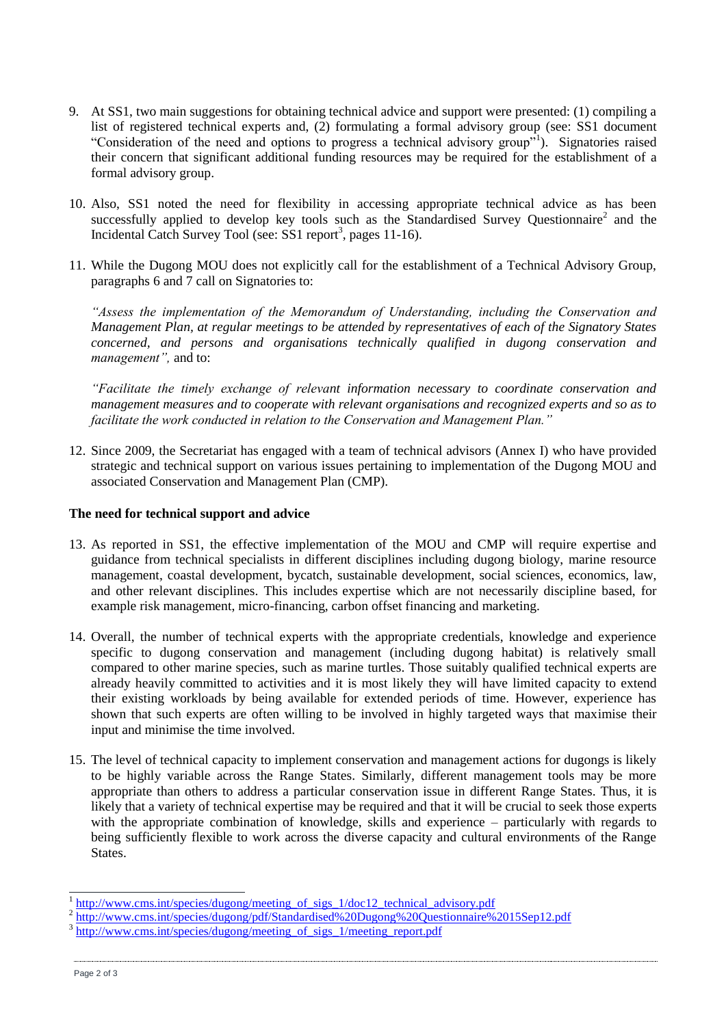- 9. At SS1, two main suggestions for obtaining technical advice and support were presented: (1) compiling a list of registered technical experts and, (2) formulating a formal advisory group (see: SS1 document "Consideration of the need and options to progress a technical advisory group"<sup>1</sup>). Signatories raised their concern that significant additional funding resources may be required for the establishment of a formal advisory group.
- 10. Also, SS1 noted the need for flexibility in accessing appropriate technical advice as has been successfully applied to develop key tools such as the Standardised Survey Questionnaire<sup>2</sup> and the Incidental Catch Survey Tool (see: SS1 report<sup>3</sup>, pages 11-16).
- 11. While the Dugong MOU does not explicitly call for the establishment of a Technical Advisory Group, paragraphs 6 and 7 call on Signatories to:

*"Assess the implementation of the Memorandum of Understanding, including the Conservation and Management Plan, at regular meetings to be attended by representatives of each of the Signatory States concerned, and persons and organisations technically qualified in dugong conservation and management",* and to:

*"Facilitate the timely exchange of relevant information necessary to coordinate conservation and management measures and to cooperate with relevant organisations and recognized experts and so as to facilitate the work conducted in relation to the Conservation and Management Plan."*

12. Since 2009, the Secretariat has engaged with a team of technical advisors (Annex I) who have provided strategic and technical support on various issues pertaining to implementation of the Dugong MOU and associated Conservation and Management Plan (CMP).

## **The need for technical support and advice**

- 13. As reported in SS1, the effective implementation of the MOU and CMP will require expertise and guidance from technical specialists in different disciplines including dugong biology, marine resource management, coastal development, bycatch, sustainable development, social sciences, economics, law, and other relevant disciplines. This includes expertise which are not necessarily discipline based, for example risk management, micro-financing, carbon offset financing and marketing.
- 14. Overall, the number of technical experts with the appropriate credentials, knowledge and experience specific to dugong conservation and management (including dugong habitat) is relatively small compared to other marine species, such as marine turtles. Those suitably qualified technical experts are already heavily committed to activities and it is most likely they will have limited capacity to extend their existing workloads by being available for extended periods of time. However, experience has shown that such experts are often willing to be involved in highly targeted ways that maximise their input and minimise the time involved.
- 15. The level of technical capacity to implement conservation and management actions for dugongs is likely to be highly variable across the Range States. Similarly, different management tools may be more appropriate than others to address a particular conservation issue in different Range States. Thus, it is likely that a variety of technical expertise may be required and that it will be crucial to seek those experts with the appropriate combination of knowledge, skills and experience – particularly with regards to being sufficiently flexible to work across the diverse capacity and cultural environments of the Range States.

-

<sup>1</sup> [http://www.cms.int/species/dugong/meeting\\_of\\_sigs\\_1/doc12\\_technical\\_advisory.pdf](http://www.cms.int/species/dugong/meeting_of_sigs_1/doc12_technical_advisory.pdf)

<sup>&</sup>lt;sup>2</sup> <http://www.cms.int/species/dugong/pdf/Standardised%20Dugong%20Questionnaire%2015Sep12.pdf>

<sup>3</sup> [http://www.cms.int/species/dugong/meeting\\_of\\_sigs\\_1/meeting\\_report.pdf](http://www.cms.int/species/dugong/meeting_of_sigs_1/meeting_report.pdf)